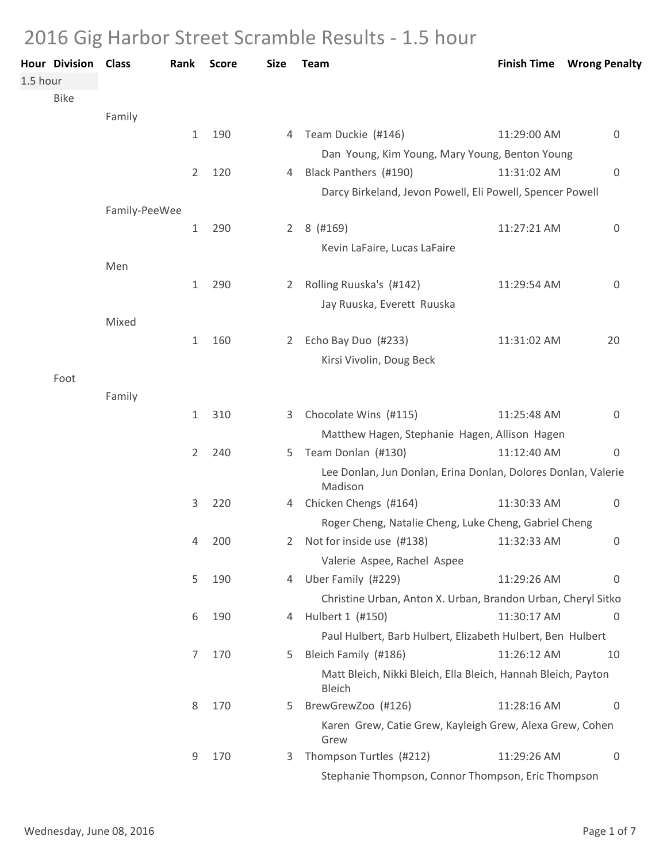## 2016 Gig Harbor Street Scramble Results - 1.5 hour

| 1.5 hour | <b>Hour Division Class</b> |               | Rank           | <b>Score</b> | <b>Size</b>    | Team                                                                     | <b>Finish Time</b> | <b>Wrong Penalty</b> |
|----------|----------------------------|---------------|----------------|--------------|----------------|--------------------------------------------------------------------------|--------------------|----------------------|
|          | <b>Bike</b>                |               |                |              |                |                                                                          |                    |                      |
|          |                            | Family        |                |              |                |                                                                          |                    |                      |
|          |                            |               | $\mathbf{1}$   | 190          | 4              | Team Duckie (#146)                                                       | 11:29:00 AM        | 0                    |
|          |                            |               |                |              |                | Dan Young, Kim Young, Mary Young, Benton Young                           |                    |                      |
|          |                            |               | $\overline{2}$ | 120          | 4              | Black Panthers (#190)                                                    | 11:31:02 AM        | $\mathbf 0$          |
|          |                            |               |                |              |                | Darcy Birkeland, Jevon Powell, Eli Powell, Spencer Powell                |                    |                      |
|          |                            | Family-PeeWee |                |              |                |                                                                          |                    |                      |
|          |                            |               | 1              | 290          | $2^{\circ}$    | 8 (#169)                                                                 | 11:27:21 AM        | $\mathbf 0$          |
|          |                            |               |                |              |                | Kevin LaFaire, Lucas LaFaire                                             |                    |                      |
|          |                            | Men           |                |              |                |                                                                          |                    |                      |
|          |                            |               | $\mathbf{1}$   | 290          | 2              | Rolling Ruuska's (#142)                                                  | 11:29:54 AM        | 0                    |
|          |                            |               |                |              |                | Jay Ruuska, Everett Ruuska                                               |                    |                      |
|          |                            | Mixed         |                |              |                |                                                                          |                    |                      |
|          |                            |               | $\mathbf{1}$   | 160          | $\overline{2}$ | Echo Bay Duo (#233)                                                      | 11:31:02 AM        | 20                   |
|          |                            |               |                |              |                | Kirsi Vivolin, Doug Beck                                                 |                    |                      |
|          | Foot                       | Family        |                |              |                |                                                                          |                    |                      |
|          |                            |               | $\mathbf{1}$   | 310          | 3.             | Chocolate Wins (#115)                                                    | 11:25:48 AM        | 0                    |
|          |                            |               |                |              |                | Matthew Hagen, Stephanie Hagen, Allison Hagen                            |                    |                      |
|          |                            |               | 2              | 240          | 5              | Team Donlan (#130)                                                       | 11:12:40 AM        | $\mathbf 0$          |
|          |                            |               |                |              |                | Lee Donlan, Jun Donlan, Erina Donlan, Dolores Donlan, Valerie<br>Madison |                    |                      |
|          |                            |               | 3              | 220          |                | 4 Chicken Chengs (#164)                                                  | 11:30:33 AM        | $\overline{0}$       |
|          |                            |               |                |              |                | Roger Cheng, Natalie Cheng, Luke Cheng, Gabriel Cheng                    |                    |                      |
|          |                            |               | 4              | 200          | 2.             | Not for inside use (#138)                                                | 11:32:33 AM        | $\mathbf 0$          |
|          |                            |               |                |              |                | Valerie Aspee, Rachel Aspee                                              |                    |                      |
|          |                            |               | 5              | 190          | 4              | Uber Family (#229)                                                       | 11:29:26 AM        | $\overline{0}$       |
|          |                            |               |                |              |                | Christine Urban, Anton X. Urban, Brandon Urban, Cheryl Sitko             |                    |                      |
|          |                            |               | 6              | 190          | 4              | Hulbert 1 (#150)                                                         | 11:30:17 AM        | $\overline{0}$       |
|          |                            |               |                |              |                | Paul Hulbert, Barb Hulbert, Elizabeth Hulbert, Ben Hulbert               |                    |                      |
|          |                            |               | 7              | 170          | 5.             | Bleich Family (#186)                                                     | 11:26:12 AM        | 10                   |
|          |                            |               |                |              |                | Matt Bleich, Nikki Bleich, Ella Bleich, Hannah Bleich, Payton<br>Bleich  |                    |                      |
|          |                            |               | 8              | 170          | 5.             | BrewGrewZoo (#126)                                                       | 11:28:16 AM        | $\overline{0}$       |
|          |                            |               |                |              |                | Karen Grew, Catie Grew, Kayleigh Grew, Alexa Grew, Cohen<br>Grew         |                    |                      |
|          |                            |               | 9              | 170          | 3              | Thompson Turtles (#212)                                                  | 11:29:26 AM        | $\mathbf 0$          |
|          |                            |               |                |              |                | Stephanie Thompson, Connor Thompson, Eric Thompson                       |                    |                      |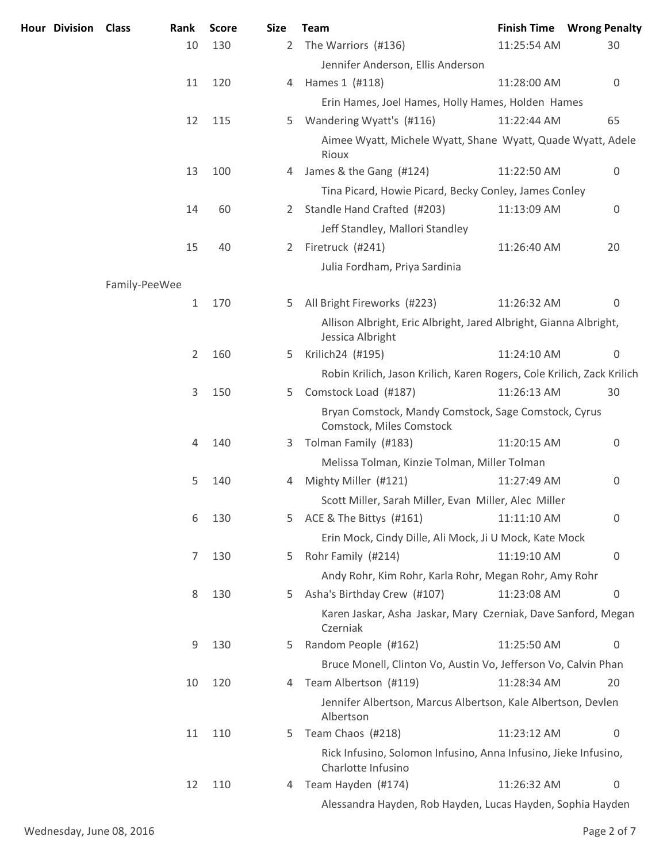| Hour Division Class |               | Rank         | <b>Score</b> | <b>Size</b> | <b>Team</b>                                                                           |             | <b>Finish Time Wrong Penalty</b> |
|---------------------|---------------|--------------|--------------|-------------|---------------------------------------------------------------------------------------|-------------|----------------------------------|
|                     |               | 10           | 130          | 2           | The Warriors (#136)                                                                   | 11:25:54 AM | 30                               |
|                     |               |              |              |             | Jennifer Anderson, Ellis Anderson                                                     |             |                                  |
|                     |               | 11           | 120          | 4           | Hames 1 (#118)                                                                        | 11:28:00 AM | $\overline{0}$                   |
|                     |               |              |              |             | Erin Hames, Joel Hames, Holly Hames, Holden Hames                                     |             |                                  |
|                     |               | 12           | 115          | 5.          | Wandering Wyatt's (#116)                                                              | 11:22:44 AM | 65                               |
|                     |               |              |              |             | Aimee Wyatt, Michele Wyatt, Shane Wyatt, Quade Wyatt, Adele<br>Rioux                  |             |                                  |
|                     |               | 13           | 100          | 4           | James & the Gang (#124)                                                               | 11:22:50 AM | 0                                |
|                     |               |              |              |             | Tina Picard, Howie Picard, Becky Conley, James Conley                                 |             |                                  |
|                     |               | 14           | 60           | 2           | Standle Hand Crafted (#203)                                                           | 11:13:09 AM | $\mathbf 0$                      |
|                     |               |              |              |             | Jeff Standley, Mallori Standley                                                       |             |                                  |
|                     |               | 15           | 40           | 2           | Firetruck (#241)                                                                      | 11:26:40 AM | 20                               |
|                     |               |              |              |             | Julia Fordham, Priya Sardinia                                                         |             |                                  |
|                     | Family-PeeWee |              |              |             |                                                                                       |             |                                  |
|                     |               | $\mathbf{1}$ | 170          | 5           | All Bright Fireworks (#223)                                                           | 11:26:32 AM | 0                                |
|                     |               |              |              |             | Allison Albright, Eric Albright, Jared Albright, Gianna Albright,<br>Jessica Albright |             |                                  |
|                     |               | 2            | 160          | 5           | Krilich24 (#195)                                                                      | 11:24:10 AM | $\mathbf 0$                      |
|                     |               |              |              |             | Robin Krilich, Jason Krilich, Karen Rogers, Cole Krilich, Zack Krilich                |             |                                  |
|                     |               | 3            | 150          | 5           | Comstock Load (#187)                                                                  | 11:26:13 AM | 30                               |
|                     |               |              |              |             | Bryan Comstock, Mandy Comstock, Sage Comstock, Cyrus<br>Comstock, Miles Comstock      |             |                                  |
|                     |               | 4            | 140          | 3           | Tolman Family (#183)                                                                  | 11:20:15 AM | 0                                |
|                     |               |              |              |             | Melissa Tolman, Kinzie Tolman, Miller Tolman                                          |             |                                  |
|                     |               | 5            | 140          | 4           | Mighty Miller (#121)                                                                  | 11:27:49 AM | 0                                |
|                     |               |              |              |             | Scott Miller, Sarah Miller, Evan Miller, Alec Miller                                  |             |                                  |
|                     |               | 6            | 130          | 5           | ACE & The Bittys (#161)                                                               | 11:11:10 AM | 0                                |
|                     |               |              |              |             | Erin Mock, Cindy Dille, Ali Mock, Ji U Mock, Kate Mock                                |             |                                  |
|                     |               | 7            | 130          | 5           | Rohr Family (#214)                                                                    | 11:19:10 AM | $\mathbf 0$                      |
|                     |               |              |              |             | Andy Rohr, Kim Rohr, Karla Rohr, Megan Rohr, Amy Rohr                                 |             |                                  |
|                     |               | 8            | 130          | 5           | Asha's Birthday Crew (#107)                                                           | 11:23:08 AM | 0                                |
|                     |               |              |              |             | Karen Jaskar, Asha Jaskar, Mary Czerniak, Dave Sanford, Megan<br>Czerniak             |             |                                  |
|                     |               | 9            | 130          | 5           | Random People (#162)                                                                  | 11:25:50 AM | 0                                |
|                     |               |              |              |             | Bruce Monell, Clinton Vo, Austin Vo, Jefferson Vo, Calvin Phan                        |             |                                  |
|                     |               | 10           | 120          | 4           | Team Albertson (#119)                                                                 | 11:28:34 AM | 20                               |
|                     |               |              |              |             | Jennifer Albertson, Marcus Albertson, Kale Albertson, Devlen<br>Albertson             |             |                                  |
|                     |               | 11           | 110          | 5           | Team Chaos (#218)                                                                     | 11:23:12 AM | 0                                |
|                     |               |              |              |             | Rick Infusino, Solomon Infusino, Anna Infusino, Jieke Infusino,<br>Charlotte Infusino |             |                                  |
|                     |               | 12           | 110          | 4           | Team Hayden (#174)                                                                    | 11:26:32 AM | 0                                |
|                     |               |              |              |             | Alessandra Hayden, Rob Hayden, Lucas Hayden, Sophia Hayden                            |             |                                  |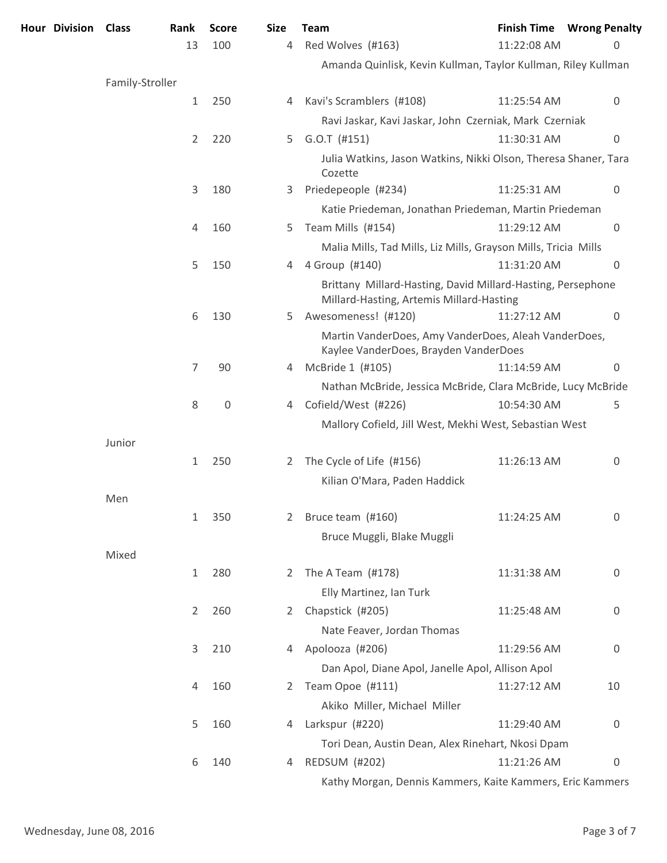| Hour Division Class |                 | Rank           | <b>Score</b> | <b>Size</b> | <b>Team</b>                                                                                             |             | <b>Finish Time Wrong Penalty</b> |
|---------------------|-----------------|----------------|--------------|-------------|---------------------------------------------------------------------------------------------------------|-------------|----------------------------------|
|                     |                 | 13             | 100          | 4           | Red Wolves (#163)                                                                                       | 11:22:08 AM | 0                                |
|                     |                 |                |              |             | Amanda Quinlisk, Kevin Kullman, Taylor Kullman, Riley Kullman                                           |             |                                  |
|                     | Family-Stroller |                |              |             |                                                                                                         |             |                                  |
|                     |                 | $\mathbf{1}$   | 250          | 4           | Kavi's Scramblers (#108)                                                                                | 11:25:54 AM | 0                                |
|                     |                 |                |              |             | Ravi Jaskar, Kavi Jaskar, John Czerniak, Mark Czerniak                                                  |             |                                  |
|                     |                 | 2              | 220          | 5           | $G.O.T$ (#151)                                                                                          | 11:30:31 AM | $\boldsymbol{0}$                 |
|                     |                 |                |              |             | Julia Watkins, Jason Watkins, Nikki Olson, Theresa Shaner, Tara<br>Cozette                              |             |                                  |
|                     |                 | 3              | 180          | 3.          | Priedepeople (#234)                                                                                     | 11:25:31 AM | 0                                |
|                     |                 |                |              |             | Katie Priedeman, Jonathan Priedeman, Martin Priedeman                                                   |             |                                  |
|                     |                 | 4              | 160          | 5.          | Team Mills (#154)                                                                                       | 11:29:12 AM | $\overline{0}$                   |
|                     |                 |                |              |             | Malia Mills, Tad Mills, Liz Mills, Grayson Mills, Tricia Mills                                          |             |                                  |
|                     |                 | 5              | 150          | 4           | 4 Group (#140)                                                                                          | 11:31:20 AM | $\Omega$                         |
|                     |                 |                |              |             | Brittany Millard-Hasting, David Millard-Hasting, Persephone<br>Millard-Hasting, Artemis Millard-Hasting |             |                                  |
|                     |                 | 6              | 130          | 5.          | Awesomeness! (#120)                                                                                     | 11:27:12 AM | $\overline{0}$                   |
|                     |                 |                |              |             | Martin VanderDoes, Amy VanderDoes, Aleah VanderDoes,<br>Kaylee VanderDoes, Brayden VanderDoes           |             |                                  |
|                     |                 | 7              | 90           | 4           | McBride 1 (#105)                                                                                        | 11:14:59 AM | 0                                |
|                     |                 |                |              |             | Nathan McBride, Jessica McBride, Clara McBride, Lucy McBride                                            |             |                                  |
|                     |                 | 8              | $\mathbf 0$  | 4           | Cofield/West (#226)                                                                                     | 10:54:30 AM | 5                                |
|                     |                 |                |              |             | Mallory Cofield, Jill West, Mekhi West, Sebastian West                                                  |             |                                  |
|                     | Junior          |                |              |             |                                                                                                         |             |                                  |
|                     |                 | $\mathbf{1}$   | 250          | 2           | The Cycle of Life (#156)                                                                                | 11:26:13 AM | 0                                |
|                     |                 |                |              |             | Kilian O'Mara, Paden Haddick                                                                            |             |                                  |
|                     | Men             |                |              |             |                                                                                                         |             |                                  |
|                     |                 | 1              | 350          | 2           | Bruce team (#160)                                                                                       | 11:24:25 AM | 0                                |
|                     |                 |                |              |             | Bruce Muggli, Blake Muggli                                                                              |             |                                  |
|                     | Mixed           |                |              |             |                                                                                                         |             |                                  |
|                     |                 | $\mathbf{1}$   | 280          | 2           | The A Team $(H178)$                                                                                     | 11:31:38 AM | 0                                |
|                     |                 |                |              |             | Elly Martinez, Ian Turk                                                                                 |             |                                  |
|                     |                 | $\overline{2}$ | 260          | 2           | Chapstick (#205)                                                                                        | 11:25:48 AM | 0                                |
|                     |                 |                |              |             | Nate Feaver, Jordan Thomas                                                                              |             |                                  |
|                     |                 | 3              | 210          | 4           | Apolooza (#206)                                                                                         | 11:29:56 AM | 0                                |
|                     |                 |                |              |             | Dan Apol, Diane Apol, Janelle Apol, Allison Apol                                                        |             |                                  |
|                     |                 | 4              | 160          | 2           | Team Opoe (#111)                                                                                        | 11:27:12 AM | 10                               |
|                     |                 |                |              |             | Akiko Miller, Michael Miller                                                                            |             |                                  |
|                     |                 | 5              | 160          | 4           | Larkspur (#220)                                                                                         | 11:29:40 AM | 0                                |
|                     |                 |                |              |             | Tori Dean, Austin Dean, Alex Rinehart, Nkosi Dpam                                                       |             |                                  |
|                     |                 | 6              | 140          | 4           | <b>REDSUM (#202)</b>                                                                                    | 11:21:26 AM | 0                                |
|                     |                 |                |              |             | Kathy Morgan, Dennis Kammers, Kaite Kammers, Eric Kammers                                               |             |                                  |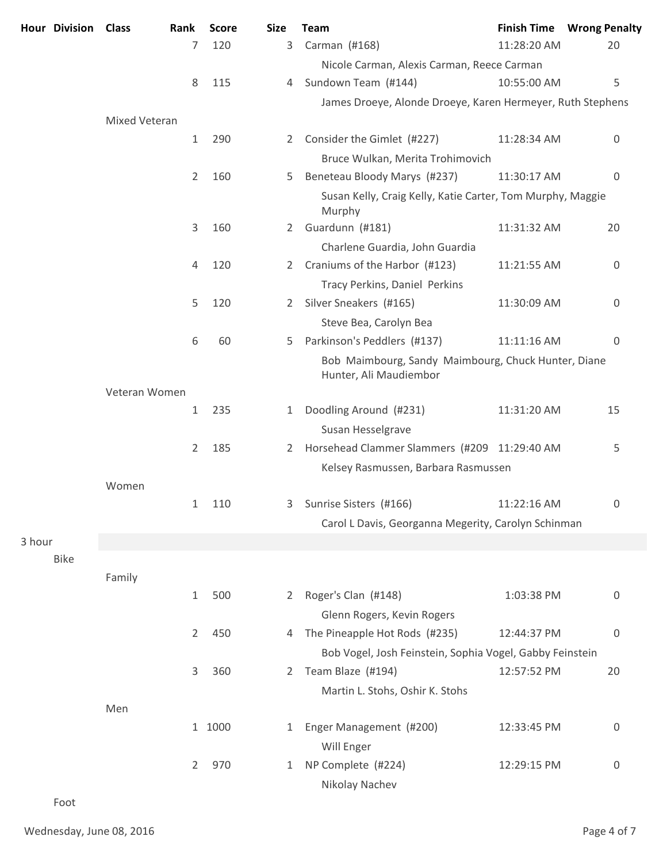|        | <b>Hour Division</b> | <b>Class</b><br>Rank |                | <b>Score</b> | <b>Size</b>    | <b>Team</b>                                                                   | <b>Finish Time</b> | <b>Wrong Penalty</b> |
|--------|----------------------|----------------------|----------------|--------------|----------------|-------------------------------------------------------------------------------|--------------------|----------------------|
|        |                      |                      | 7              | 120          | 3              | Carman (#168)                                                                 | 11:28:20 AM        | 20                   |
|        |                      |                      |                |              |                | Nicole Carman, Alexis Carman, Reece Carman                                    |                    |                      |
|        |                      |                      | 8              | 115          | 4              | Sundown Team (#144)                                                           | 10:55:00 AM        | 5                    |
|        |                      |                      |                |              |                | James Droeye, Alonde Droeye, Karen Hermeyer, Ruth Stephens                    |                    |                      |
|        |                      | Mixed Veteran        |                |              |                |                                                                               |                    |                      |
|        |                      |                      | $\mathbf{1}$   | 290          | $\overline{2}$ | Consider the Gimlet (#227)                                                    | 11:28:34 AM        | 0                    |
|        |                      |                      |                |              |                | Bruce Wulkan, Merita Trohimovich                                              |                    |                      |
|        |                      |                      | 2              | 160          | 5              | Beneteau Bloody Marys (#237)                                                  | 11:30:17 AM        | $\mathbf 0$          |
|        |                      |                      |                |              |                | Susan Kelly, Craig Kelly, Katie Carter, Tom Murphy, Maggie<br>Murphy          |                    |                      |
|        |                      |                      | 3              | 160          | 2              | Guardunn (#181)                                                               | 11:31:32 AM        | 20                   |
|        |                      |                      |                |              |                | Charlene Guardia, John Guardia                                                |                    |                      |
|        |                      |                      | 4              | 120          | 2              | Craniums of the Harbor (#123)                                                 | 11:21:55 AM        | 0                    |
|        |                      |                      |                |              |                | Tracy Perkins, Daniel Perkins                                                 |                    |                      |
|        |                      |                      | 5              | 120          | 2              | Silver Sneakers (#165)                                                        | 11:30:09 AM        | 0                    |
|        |                      |                      |                |              |                | Steve Bea, Carolyn Bea                                                        |                    |                      |
|        |                      |                      | 6              | 60           | 5              | Parkinson's Peddlers (#137)                                                   | 11:11:16 AM        | $\overline{0}$       |
|        |                      |                      |                |              |                | Bob Maimbourg, Sandy Maimbourg, Chuck Hunter, Diane<br>Hunter, Ali Maudiembor |                    |                      |
|        |                      | Veteran Women        |                |              |                |                                                                               |                    |                      |
|        |                      |                      | $\mathbf{1}$   | 235          | 1              | Doodling Around (#231)                                                        | 11:31:20 AM        | 15                   |
|        |                      |                      |                |              |                | Susan Hesselgrave                                                             |                    |                      |
|        |                      |                      | 2              | 185          | 2              | Horsehead Clammer Slammers (#209 11:29:40 AM                                  |                    | 5                    |
|        |                      |                      |                |              |                | Kelsey Rasmussen, Barbara Rasmussen                                           |                    |                      |
|        |                      | Women                |                |              |                |                                                                               |                    |                      |
|        |                      |                      |                | 1 110        | 3              | Sunrise Sisters (#166)                                                        | 11:22:16 AM        | 0                    |
|        |                      |                      |                |              |                | Carol L Davis, Georganna Megerity, Carolyn Schinman                           |                    |                      |
| 3 hour |                      |                      |                |              |                |                                                                               |                    |                      |
|        | <b>Bike</b>          |                      |                |              |                |                                                                               |                    |                      |
|        |                      | Family               |                | 500          |                |                                                                               |                    |                      |
|        |                      |                      | $\mathbf{1}$   |              | 2              | Roger's Clan (#148)                                                           | 1:03:38 PM         | 0                    |
|        |                      |                      |                |              |                | Glenn Rogers, Kevin Rogers                                                    |                    |                      |
|        |                      |                      | $\overline{2}$ | 450          | 4              | The Pineapple Hot Rods (#235)                                                 | 12:44:37 PM        | $\overline{0}$       |
|        |                      |                      |                |              |                | Bob Vogel, Josh Feinstein, Sophia Vogel, Gabby Feinstein                      |                    |                      |
|        |                      |                      | 3              | 360          | 2              | Team Blaze (#194)                                                             | 12:57:52 PM        | 20                   |
|        |                      |                      |                |              |                | Martin L. Stohs, Oshir K. Stohs                                               |                    |                      |
|        |                      | Men                  |                | 1 1000       |                |                                                                               |                    |                      |
|        |                      |                      |                |              | 1              | Enger Management (#200)                                                       | 12:33:45 PM        | 0                    |
|        |                      |                      |                |              |                | Will Enger                                                                    |                    |                      |
|        |                      |                      | $\overline{2}$ | 970          | 1              | NP Complete (#224)                                                            | 12:29:15 PM        | 0                    |
|        |                      |                      |                |              |                | Nikolay Nachev                                                                |                    |                      |

Foot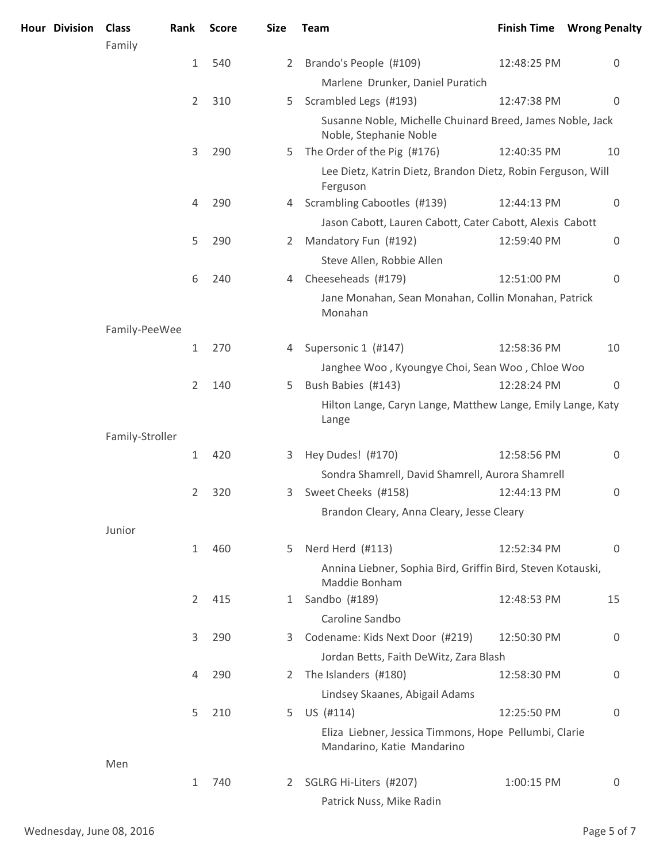| <b>Hour Division</b> | <b>Class</b><br>Family | Rank           | <b>Score</b> | <b>Size</b>    | <b>Team</b>                                                                         |             | <b>Finish Time Wrong Penalty</b> |
|----------------------|------------------------|----------------|--------------|----------------|-------------------------------------------------------------------------------------|-------------|----------------------------------|
|                      |                        | $\mathbf{1}$   | 540          | $\overline{2}$ | Brando's People (#109)                                                              | 12:48:25 PM | 0                                |
|                      |                        |                |              |                | Marlene Drunker, Daniel Puratich                                                    |             |                                  |
|                      |                        | $\overline{2}$ | 310          | 5              | Scrambled Legs (#193)                                                               | 12:47:38 PM | $\mathbf 0$                      |
|                      |                        |                |              |                | Susanne Noble, Michelle Chuinard Breed, James Noble, Jack<br>Noble, Stephanie Noble |             |                                  |
|                      |                        | 3              | 290          | 5.             | The Order of the Pig (#176)                                                         | 12:40:35 PM | 10                               |
|                      |                        |                |              |                | Lee Dietz, Katrin Dietz, Brandon Dietz, Robin Ferguson, Will<br>Ferguson            |             |                                  |
|                      |                        | 4              | 290          | 4              | Scrambling Cabootles (#139)                                                         | 12:44:13 PM | $\overline{0}$                   |
|                      |                        |                |              |                | Jason Cabott, Lauren Cabott, Cater Cabott, Alexis Cabott                            |             |                                  |
|                      |                        | 5              | 290          | 2              | Mandatory Fun (#192)                                                                | 12:59:40 PM | $\overline{0}$                   |
|                      |                        |                |              |                | Steve Allen, Robbie Allen                                                           |             |                                  |
|                      |                        | 6              | 240          | 4              | Cheeseheads (#179)                                                                  | 12:51:00 PM | $\overline{0}$                   |
|                      |                        |                |              |                | Jane Monahan, Sean Monahan, Collin Monahan, Patrick<br>Monahan                      |             |                                  |
|                      | Family-PeeWee          |                |              |                |                                                                                     |             |                                  |
|                      |                        | $\mathbf{1}$   | 270          | 4              | Supersonic 1 (#147)                                                                 | 12:58:36 PM | 10                               |
|                      |                        |                |              |                | Janghee Woo, Kyoungye Choi, Sean Woo, Chloe Woo                                     |             |                                  |
|                      |                        | 2              | 140          | 5              | Bush Babies (#143)                                                                  | 12:28:24 PM | $\mathbf 0$                      |
|                      |                        |                |              |                | Hilton Lange, Caryn Lange, Matthew Lange, Emily Lange, Katy<br>Lange                |             |                                  |
|                      | Family-Stroller        |                |              |                |                                                                                     |             |                                  |
|                      |                        | $\mathbf{1}$   | 420          | 3              | Hey Dudes! (#170)                                                                   | 12:58:56 PM | 0                                |
|                      |                        |                |              |                | Sondra Shamrell, David Shamrell, Aurora Shamrell                                    |             |                                  |
|                      |                        | 2              | 320          | 3              | Sweet Cheeks (#158)                                                                 | 12:44:13 PM | 0                                |
|                      |                        |                |              |                | Brandon Cleary, Anna Cleary, Jesse Cleary                                           |             |                                  |
|                      | Junior                 |                |              |                |                                                                                     |             |                                  |
|                      |                        | $\mathbf{1}$   | 460          | 5              | Nerd Herd (#113)                                                                    | 12:52:34 PM | $\Omega$                         |
|                      |                        |                |              |                | Annina Liebner, Sophia Bird, Griffin Bird, Steven Kotauski,<br>Maddie Bonham        |             |                                  |
|                      |                        | 2              | 415          | $\mathbf{1}$   | Sandbo (#189)                                                                       | 12:48:53 PM | 15                               |
|                      |                        |                |              |                | Caroline Sandbo                                                                     |             |                                  |
|                      |                        | 3              | 290          | 3.             | Codename: Kids Next Door (#219)                                                     | 12:50:30 PM | 0                                |
|                      |                        |                |              |                | Jordan Betts, Faith DeWitz, Zara Blash                                              |             |                                  |
|                      |                        | 4              | 290          | 2              | The Islanders (#180)                                                                | 12:58:30 PM | 0                                |
|                      |                        |                |              |                | Lindsey Skaanes, Abigail Adams                                                      |             |                                  |
|                      |                        | 5              | 210          | 5              | US (#114)                                                                           | 12:25:50 PM | $\overline{0}$                   |
|                      |                        |                |              |                | Eliza Liebner, Jessica Timmons, Hope Pellumbi, Clarie<br>Mandarino, Katie Mandarino |             |                                  |
|                      | Men                    |                |              |                |                                                                                     |             |                                  |
|                      |                        | $\mathbf{1}$   | 740          | $\overline{2}$ | SGLRG Hi-Liters (#207)                                                              | 1:00:15 PM  | 0                                |
|                      |                        |                |              |                | Patrick Nuss, Mike Radin                                                            |             |                                  |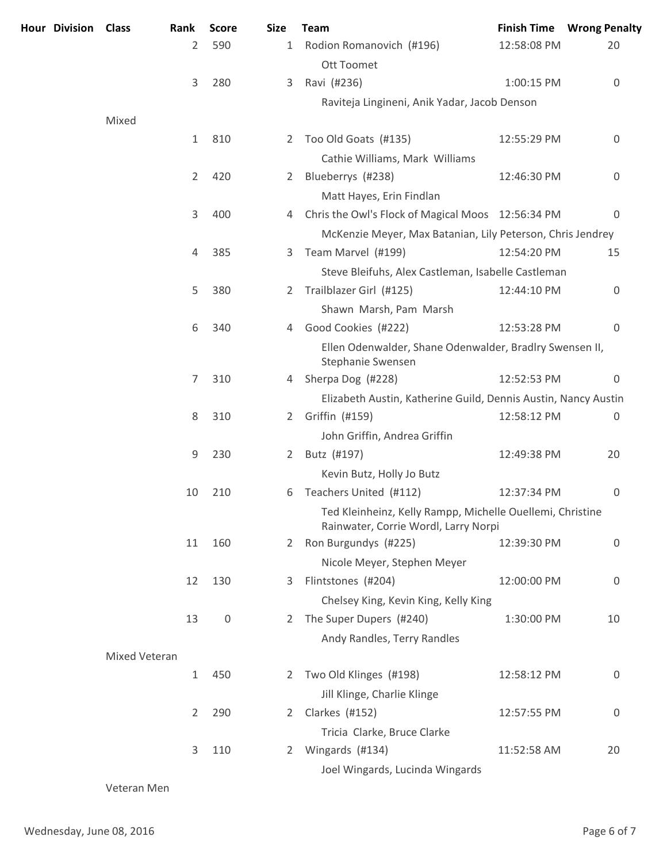| <b>Hour Division Class</b> |               | Rank           | <b>Score</b> | <b>Size</b>           | <b>Team</b>                                                                                       |             | <b>Finish Time Wrong Penalty</b> |
|----------------------------|---------------|----------------|--------------|-----------------------|---------------------------------------------------------------------------------------------------|-------------|----------------------------------|
|                            |               | 2              | 590          | $\mathbf{1}$          | Rodion Romanovich (#196)<br>Ott Toomet                                                            | 12:58:08 PM | 20                               |
|                            |               | 3              | 280          | 3                     | Ravi (#236)                                                                                       | 1:00:15 PM  | 0                                |
|                            |               |                |              |                       | Raviteja Lingineni, Anik Yadar, Jacob Denson                                                      |             |                                  |
|                            | Mixed         |                |              |                       |                                                                                                   |             |                                  |
|                            |               | $\mathbf{1}$   | 810          | 2                     | Too Old Goats (#135)                                                                              | 12:55:29 PM | 0                                |
|                            |               |                |              |                       | Cathie Williams, Mark Williams                                                                    |             |                                  |
|                            |               | $\overline{2}$ | 420          | 2                     | Blueberrys (#238)                                                                                 | 12:46:30 PM | 0                                |
|                            |               |                |              |                       | Matt Hayes, Erin Findlan                                                                          |             |                                  |
|                            |               | 3              | 400          | 4                     | Chris the Owl's Flock of Magical Moos 12:56:34 PM                                                 |             | $\overline{0}$                   |
|                            |               |                |              |                       | McKenzie Meyer, Max Batanian, Lily Peterson, Chris Jendrey                                        |             |                                  |
|                            |               | 4              | 385          | 3                     | Team Marvel (#199)                                                                                | 12:54:20 PM | 15                               |
|                            |               |                |              |                       | Steve Bleifuhs, Alex Castleman, Isabelle Castleman                                                |             |                                  |
|                            |               | 5              | 380          | 2                     | Trailblazer Girl (#125)                                                                           | 12:44:10 PM | $\overline{0}$                   |
|                            |               |                |              |                       | Shawn Marsh, Pam Marsh                                                                            |             |                                  |
|                            |               | 6              | 340          | 4                     | Good Cookies (#222)                                                                               | 12:53:28 PM | 0                                |
|                            |               |                |              |                       | Ellen Odenwalder, Shane Odenwalder, Bradlry Swensen II,<br>Stephanie Swensen                      |             |                                  |
|                            |               | 7              | 310          | 4                     | Sherpa Dog (#228)                                                                                 | 12:52:53 PM | 0                                |
|                            |               |                |              |                       | Elizabeth Austin, Katherine Guild, Dennis Austin, Nancy Austin                                    |             |                                  |
|                            |               | 8              | 310          | 2                     | Griffin (#159)                                                                                    | 12:58:12 PM | 0                                |
|                            |               |                |              |                       | John Griffin, Andrea Griffin                                                                      |             |                                  |
|                            |               | 9              | 230          | 2                     | Butz (#197)                                                                                       | 12:49:38 PM | 20                               |
|                            |               |                |              |                       | Kevin Butz, Holly Jo Butz                                                                         |             |                                  |
|                            |               | 10             | 210          | 6                     | Teachers United (#112)                                                                            | 12:37:34 PM | 0                                |
|                            |               |                |              |                       | Ted Kleinheinz, Kelly Rampp, Michelle Ouellemi, Christine<br>Rainwater, Corrie Wordl, Larry Norpi |             |                                  |
|                            |               | 11             | 160          | $\mathbf{2}^{\prime}$ | Ron Burgundys (#225)                                                                              | 12:39:30 PM | 0                                |
|                            |               |                |              |                       | Nicole Meyer, Stephen Meyer                                                                       |             |                                  |
|                            |               | 12             | 130          | 3                     | Flintstones (#204)                                                                                | 12:00:00 PM | 0                                |
|                            |               |                |              |                       | Chelsey King, Kevin King, Kelly King                                                              |             |                                  |
|                            |               | 13             | $\mathbf 0$  | 2                     | The Super Dupers (#240)                                                                           | 1:30:00 PM  | 10                               |
|                            |               |                |              |                       | Andy Randles, Terry Randles                                                                       |             |                                  |
|                            | Mixed Veteran |                |              |                       |                                                                                                   |             |                                  |
|                            |               | $\mathbf{1}$   | 450          | 2                     | Two Old Klinges (#198)                                                                            | 12:58:12 PM | 0                                |
|                            |               |                |              |                       | Jill Klinge, Charlie Klinge                                                                       |             |                                  |
|                            |               | 2              | 290          | 2                     | Clarkes (#152)                                                                                    | 12:57:55 PM | 0                                |
|                            |               |                |              |                       | Tricia Clarke, Bruce Clarke                                                                       |             |                                  |
|                            |               | 3              | 110          | 2                     | Wingards (#134)                                                                                   | 11:52:58 AM | 20                               |
|                            |               |                |              |                       | Joel Wingards, Lucinda Wingards                                                                   |             |                                  |
|                            |               |                |              |                       |                                                                                                   |             |                                  |

Veteran Men